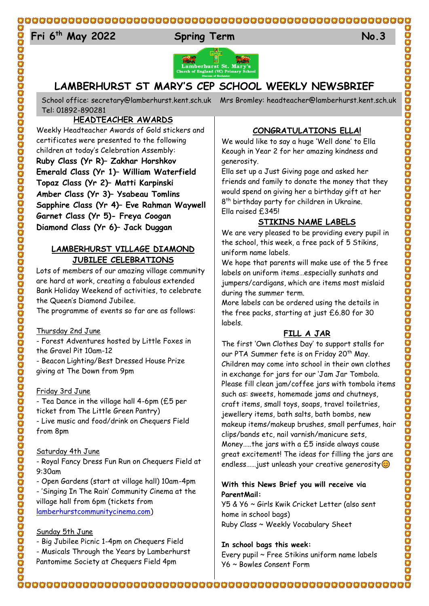#### $E_{4}$ **Fri 6 th May 2022 Spring Term No.3**



# **LAMBERHURST ST MARY'S CEP SCHOOL WEEKLY NEWSBRIEF**

School office: [secretary@lamberhurst.kent.sch.uk](mailto:secretary@lamberhurst.kent.sch.uk) Mrs Bromley: headteacher@lamberhurst.kent.sch.uk Tel: 01892-890281

**HEADTEACHER AWARDS**

Weekly Headteacher Awards of Gold stickers and certificates were presented to the following children at today's Celebration Assembly: **Ruby Class (Yr R)– Zakhar Horshkov Emerald Class (Yr 1)– William Waterfield Topaz Class (Yr 2)– Matti Karpinski Amber Class (Yr 3)– Ysabeau Tomlins Sapphire Class (Yr 4)– Eve Rahman Waywell Garnet Class (Yr 5)- Freya Coogan Diamond Class (Yr 6)– Jack Duggan**

### **LAMBERHURST VILLAGE DIAMOND JUBILEE CELEBRATIONS**

Lots of members of our amazing village community are hard at work, creating a fabulous extended Bank Holiday Weekend of activities, to celebrate the Queen's Diamond Jubilee.

The programme of events so far are as follows:

#### Thursday 2nd June

- Forest Adventures hosted by Little Foxes in the Gravel Pit 10am-12

- Beacon Lighting/Best Dressed House Prize giving at The Down from 9pm

#### Friday 3rd June

- Tea Dance in the village hall 4-6pm (£5 per ticket from The Little Green Pantry) - Live music and food/drink on Chequers Field from 8pm

#### Saturday 4th June

- Royal Fancy Dress Fun Run on Chequers Field at 9:30am

- Open Gardens (start at village hall) 10am-4pm - 'Singing In The Rain' Community Cinema at the

village hall from 6pm (tickets from [lamberhurstcommunitycinema.com\)](http://lamberhurstcommunitycinema.com/)

#### Sunday 5th June

- Big Jubilee Picnic 1-4pm on Chequers Field

- Musicals Through the Years by Lamberhurst Pantomime Society at Chequers Field 4pm

## **CONGRATULATIONS ELLA!**

We would like to say a huge 'Well done' to Ella Keough in Year 2 for her amazing kindness and generosity.

Ella set up a Just Giving page and asked her friends and family to donate the money that they would spend on giving her a birthday gift at her 8<sup>th</sup> birthday party for children in Ukraine. Ella raised £345!

## **STIKINS NAME LABELS**

We are very pleased to be providing every pupil in the school, this week, a free pack of 5 Stikins, uniform name labels.

We hope that parents will make use of the 5 free labels on uniform items…especially sunhats and jumpers/cardigans, which are items most mislaid during the summer term.

More labels can be ordered using the details in the free packs, starting at just £6.80 for 30 labels.

## **FILL A JAR**

The first 'Own Clothes Day' to support stalls for our PTA Summer fete is on Friday 20<sup>th</sup> May. Children may come into school in their own clothes in exchange for jars for our 'Jam Jar Tombola. Please fill clean jam/coffee jars with tombola items such as: sweets, homemade jams and chutneys, craft items, small toys, soaps, travel toiletries, jewellery items, bath salts, bath bombs, new makeup items/makeup brushes, small perfumes, hair clips/bands etc, nail varnish/manicure sets, Money…..the jars with a £5 inside always cause great excitement! The ideas for filling the jars are endless……just unleash your creative generosity $\circledcirc$ 

### **With this News Brief you will receive via ParentMail:**

Y5 & Y6 ~ Girls Kwik Cricket Letter (also sent home in school bags) Ruby Class ~ Weekly Vocabulary Sheet

#### **In school bags this week:**

Every pupil ~ Free Stikins uniform name labels Y6 ~ Bowles Consent Form